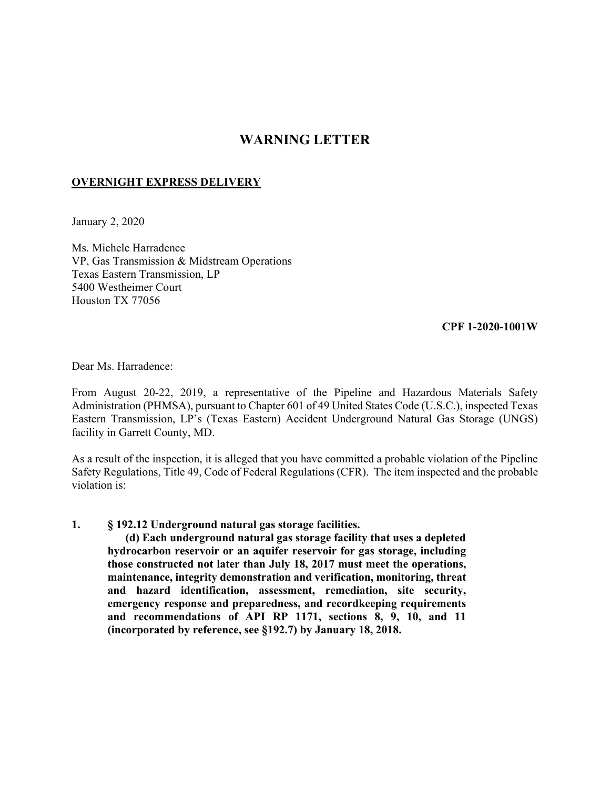## **WARNING LETTER**

## **OVERNIGHT EXPRESS DELIVERY**

January 2, 2020

Ms. Michele Harradence VP, Gas Transmission & Midstream Operations Texas Eastern Transmission, LP 5400 Westheimer Court Houston TX 77056

**CPF 1-2020-1001W** 

Dear Ms. Harradence:

From August 20-22, 2019, a representative of the Pipeline and Hazardous Materials Safety Administration (PHMSA), pursuant to Chapter 601 of 49 United States Code (U.S.C.), inspected Texas Eastern Transmission, LP's (Texas Eastern) Accident Underground Natural Gas Storage (UNGS) facility in Garrett County, MD.

As a result of the inspection, it is alleged that you have committed a probable violation of the Pipeline Safety Regulations, Title 49, Code of Federal Regulations (CFR). The item inspected and the probable violation is:

## **1. § 192.12 Underground natural gas storage facilities.**

**(d) Each underground natural gas storage facility that uses a depleted hydrocarbon reservoir or an aquifer reservoir for gas storage, including those constructed not later than July 18, 2017 must meet the operations, maintenance, integrity demonstration and verification, monitoring, threat and hazard identification, assessment, remediation, site security, emergency response and preparedness, and recordkeeping requirements and recommendations of API RP 1171, sections 8, 9, 10, and 11 (incorporated by reference, see §192.7) by January 18, 2018.**